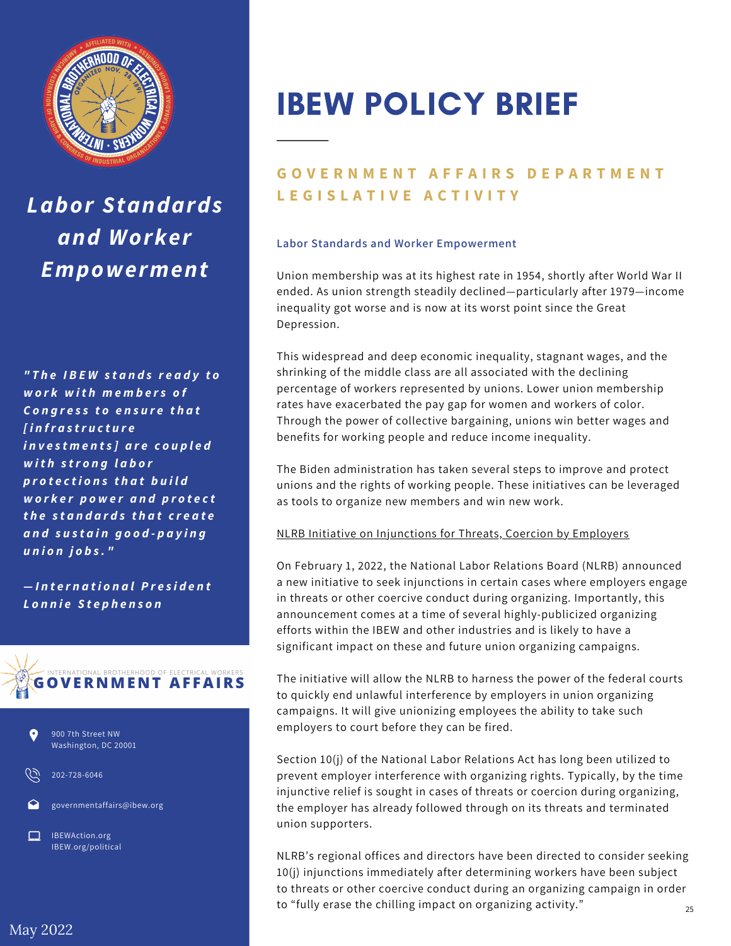

*Labor Standards and Worker Empowerment*

*" T h e I B E W s t a n d s r e a d y t o w o r k w i t h m e m b e r s o f C o n g r e s s t o e n s u r e t h a t [ i n fr a s tr u c t u r e i n v e s t m e n t s ] a r e c o u p le d with strong labor p r o t e c t i o n s t h a t b u il d w o r k e r p o w e r a n d p r o t e c t t h e s t a n d a r d s t h a t c r e a t e a n d s u s t a i n g o o d - p a y in g u n io n j o b s . "*

*— I n t e r n a t i o n a l P r e s i d e n t L o n n i e S t e p h e n s o n*





202-728-6046

governmentaffairs@ibew.org

IBEWAction.org IBEW.org/political

# IBEW POLICY BRIEF

# **GOVERNMENT AFFAIRS DEPARTMENT L E G I S L A T I V E A C T I V I T Y**

### **Labor Standards and Worker Empowerment**

Union membership was at its highest rate in 1954, shortly after World War II ended. As union strength steadily declined—particularly after 1979—income inequality got worse and is now at its worst point since the Great Depression.

This widespread and deep economic inequality, stagnant wages, and the shrinking of the middle class are all associated with the declining percentage of workers represented by unions. Lower union membership rates have exacerbated the pay gap for women and workers of color. Through the power of collective bargaining, unions win better wages and benefits for working people and reduce income inequality.

The Biden administration has taken several steps to improve and protect unions and the rights of working people. These initiatives can be leveraged as tools to organize new members and win new work.

#### NLRB Initiative on Injunctions for Threats, Coercion by Employers

On February 1, 2022, the National Labor Relations Board (NLRB) announced a new initiative to seek injunctions in certain cases where employers engage in threats or other coercive conduct during organizing. Importantly, this announcement comes at a time of several highly-publicized organizing efforts within the IBEW and other industries and is likely to have a significant impact on these and future union organizing campaigns.

The initiative will allow the NLRB to harness the power of the federal courts to quickly end unlawful interference by employers in union organizing campaigns. It will give unionizing employees the ability to take such employers to court before they can be fired.

Section 10(j) of the National Labor Relations Act has long been utilized to prevent employer interference with organizing rights. Typically, by the time injunctive relief is sought in cases of threats or coercion during organizing, the employer has already followed through on its threats and terminated union supporters.

NLRB's regional offices and directors have been directed to consider seeking 10(j) injunctions immediately after determining workers have been subject to threats or other coercive conduct during an organizing campaign in order to "fully erase the chilling impact on organizing activity."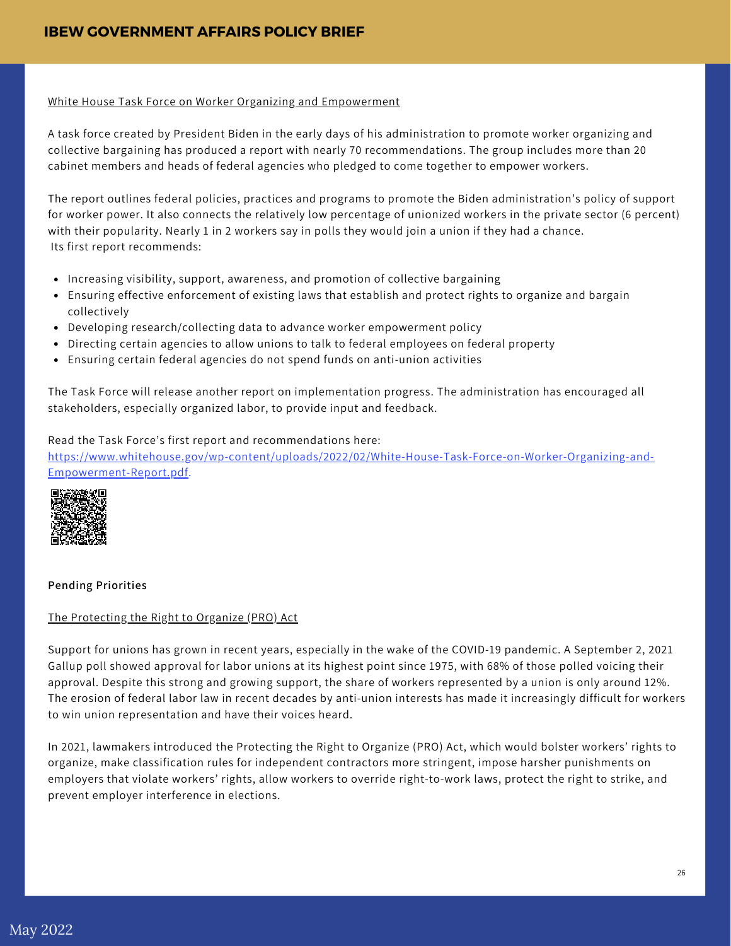#### White House Task Force on Worker Organizing and Empowerment

A task force created by President Biden in the early days of his administration to promote worker organizing and collective bargaining has produced a report with nearly 70 recommendations. The group includes more than 20 cabinet members and heads of federal agencies who pledged to come together to empower workers.

The [r](https://www.whitehouse.gov/wp-content/uploads/2022/02/White-House-Task-Force-on-Worker-Organizing-and-Empowerment-Report.pdf)eport outlines federal policies, practices and programs to promote the Biden administration's policy of support for worker power. It also connects the relatively low percentage of unionized workers in the private sector (6 percent) with their popularity. Nearly 1 in 2 workers say in polls they would join a union if they had a chance. Its first report recommends:

- Increasing visibility, support, awareness, and promotion of collective bargaining
- Ensuring effective enforcement of existing laws that establish and protect rights to organize and bargain collectively
- Developing research/collecting data to advance worker empowerment policy
- Directing certain agencies to allow unions to talk to federal employees on federal property
- Ensuring certain federal agencies do not spend funds on anti-union activities

The Task Force will release another report on implementation progress. The administration has encouraged all stakeholders, especially organized labor, to provide input and feedback.

Read the Task Force's first report and recommendations here: [https://www.whitehouse.gov/wp-content/uploads/2022/02/White-House-Task-Force-on-Worker-Organizing-and-](https://www.whitehouse.gov/wp-content/uploads/2022/02/White-House-Task-Force-on-Worker-Organizing-and-Empowerment-Report.pdf)Empowerment-Report.pdf.



## **Pending Priorities**

#### The Protecting the Right to Organize (PRO) Act

Support for unions has grown in recent years, especially in the wake of the COVID-19 pandemic. A September 2, 2021 Gallup poll showed approval for labor unions at its highest point since 1975, with 68% of those polled voicing their approval. Despite this strong and growing support, the share of workers represented by a union is only around 12%. The erosion of federal labor law in recent decades by anti-union interests has made it increasingly difficult for workers to win union representation and have their voices heard.

In 2021, lawmakers introduced the Protecting the Right to Organize (PRO) Act, which would bolster workers' rights to organize, make classification rules for independent contractors more stringent, impose harsher punishments on employers that violate workers' rights, allow workers to override right-to-work laws, protect the right to strike, and prevent employer interference in elections.